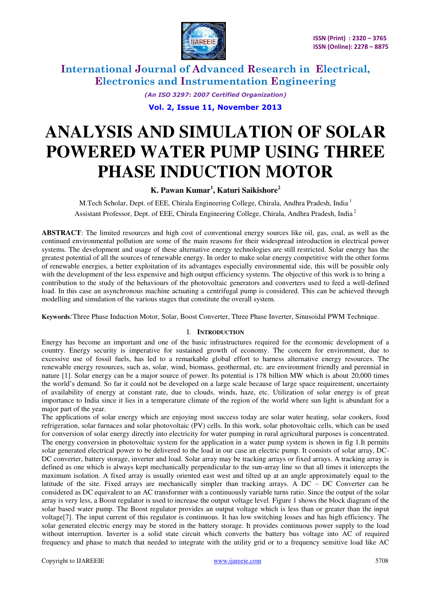

> *(An ISO 3297: 2007 Certified Organization)*  **Vol. 2, Issue 11, November 2013**

# **ANALYSIS AND SIMULATION OF SOLAR POWERED WATER PUMP USING THREE PHASE INDUCTION MOTOR**

### **K. Pawan Kumar<sup>1</sup> , Katuri Saikishore<sup>2</sup>**

M.Tech Scholar, Dept. of EEE, Chirala Engineering College, Chirala, Andhra Pradesh, India<sup>1</sup> Assistant Professor, Dept. of EEE, Chirala Engineering College, Chirala, Andhra Pradesh, India<sup>2</sup>

**ABSTRACT**: The limited resources and high cost of conventional energy sources like oil, gas, coal, as well as the continued environmental pollution are some of the main reasons for their widespread introduction in electrical power systems. The development and usage of these alternative energy technologies are still restricted. Solar energy has the greatest potential of all the sources of renewable energy. In order to make solar energy competitive with the other forms of renewable energies, a better exploitation of its advantages especially environmental side, this will be possible only with the development of the less expensive and high output efficiency systems. The objective of this work is to bring a contribution to the study of the behaviours of the photovoltaic generators and converters used to feed a well-defined load. In this case an asynchronous machine actuating a centrifugal pump is considered. This can be achieved through modelling and simulation of the various stages that constitute the overall system.

**Keywords***:*Three Phase Induction Motor, Solar, Boost Converter, Three Phase Inverter, Sinusoidal PWM Technique.

#### I. **INTRODUCTION**

Energy has become an important and one of the basic infrastructures required for the economic development of a country. Energy security is imperative for sustained growth of economy. The concern for environment, due to excessive use of fossil fuels, has led to a remarkable global effort to harness alternative energy resources. The renewable energy resources, such as, solar, wind, biomass, geothermal, etc. are environment friendly and perennial in nature [1]. Solar energy can be a major source of power. Its potential is 178 billion MW which is about 20,000 times the world's demand. So far it could not be developed on a large scale because of large space requirement, uncertainty of availability of energy at constant rate, due to clouds, winds, haze, etc. Utilization of solar energy is of great importance to India since it lies in a temperature climate of the region of the world where sun light is abundant for a major part of the year.

The applications of solar energy which are enjoying most success today are solar water heating, solar cookers, food refrigeration, solar furnaces and solar photovoltaic (PV) cells. In this work, solar photovoltaic cells, which can be used for conversion of solar energy directly into electricity for water pumping in rural agricultural purposes is concentrated. The energy conversion in photovoltaic system for the application in a water pump system is shown in fig 1.It permits solar generated electrical power to be delivered to the load in our case an electric pump. It consists of solar array, DC-DC converter, battery storage, inverter and load. Solar array may be tracking arrays or fixed arrays. A tracking array is defined as one which is always kept mechanically perpendicular to the sun-array line so that all times it intercepts the maximum isolation. A fixed array is usually oriented east west and tilted up at an angle approximately equal to the latitude of the site. Fixed arrays are mechanically simpler than tracking arrays. A DC – DC Converter can be considered as DC equivalent to an AC transformer with a continuously variable turns ratio. Since the output of the solar array is very less, a Boost regulator is used to increase the output voltage level. Figure 1 shows the block diagram of the solar based water pump. The Boost regulator provides an output voltage which is less than or greater than the input voltage[7]. The input current of this regulator is continuous. It has low switching losses and has high efficiency. The solar generated electric energy may be stored in the battery storage. It provides continuous power supply to the load without interruption. Inverter is a solid state circuit which converts the battery bus voltage into AC of required frequency and phase to match that needed to integrate with the utility grid or to a frequency sensitive load like AC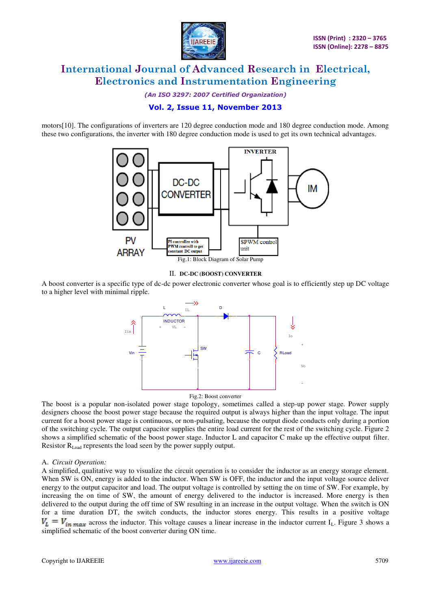

*(An ISO 3297: 2007 Certified Organization)* 

### **Vol. 2, Issue 11, November 2013**

motors[10]. The configurations of inverters are 120 degree conduction mode and 180 degree conduction mode. Among these two configurations, the inverter with 180 degree conduction mode is used to get its own technical advantages.



#### II. **DC-DC (BOOST) CONVERTER**

A boost converter is a specific type of dc-dc power electronic converter whose goal is to efficiently step up DC voltage to a higher level with minimal ripple.



Fig.2: Boost converter

The boost is a popular non-isolated power stage topology, sometimes called a step-up power stage. Power supply designers choose the boost power stage because the required output is always higher than the input voltage. The input current for a boost power stage is continuous, or non-pulsating, because the output diode conducts only during a portion of the switching cycle. The output capacitor supplies the entire load current for the rest of the switching cycle. Figure 2 shows a simplified schematic of the boost power stage. Inductor L and capacitor C make up the effective output filter. Resistor R<sub>Load</sub> represents the load seen by the power supply output.

#### A. *Circuit Operation:*

A simplified, qualitative way to visualize the circuit operation is to consider the inductor as an energy storage element. When SW is ON, energy is added to the inductor. When SW is OFF, the inductor and the input voltage source deliver energy to the output capacitor and load. The output voltage is controlled by setting the on time of SW. For example, by increasing the on time of SW, the amount of energy delivered to the inductor is increased. More energy is then delivered to the output during the off time of SW resulting in an increase in the output voltage. When the switch is ON for a time duration DT, the switch conducts, the inductor stores energy. This results in a positive voltage  $V_L = V_{in max}$  across the inductor. This voltage causes a linear increase in the inductor current I<sub>L</sub>. Figure 3 shows a simplified schematic of the boost converter during ON time.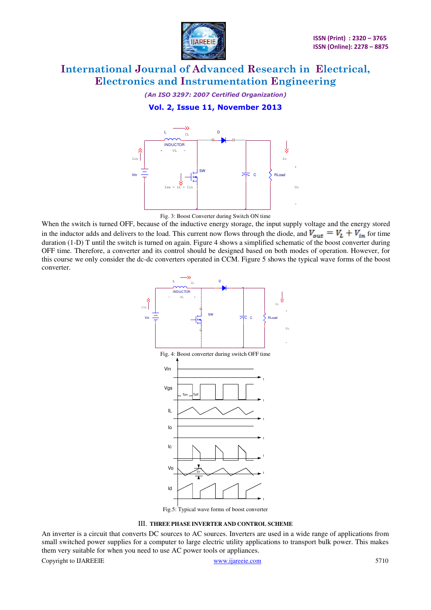

*(An ISO 3297: 2007 Certified Organization)* 

**Vol. 2, Issue 11, November 2013** 





When the switch is turned OFF, because of the inductive energy storage, the input supply voltage and the energy stored in the inductor adds and delivers to the load. This current now flows through the diode, and  $V_{out} = V_L + V_{in}$  for time duration (1-D) T until the switch is turned on again. Figure 4 shows a simplified schematic of the boost converter during OFF time. Therefore, a converter and its control should be designed based on both modes of operation. However, for this course we only consider the dc-dc converters operated in CCM. Figure 5 shows the typical wave forms of the boost converter.



III. **THREE PHASE INVERTER AND CONTROL SCHEME** 

An inverter is a circuit that converts DC sources to AC sources. Inverters are used in a wide range of applications from small switched power supplies for a computer to large electric utility applications to transport bulk power. This makes them very suitable for when you need to use AC power tools or appliances.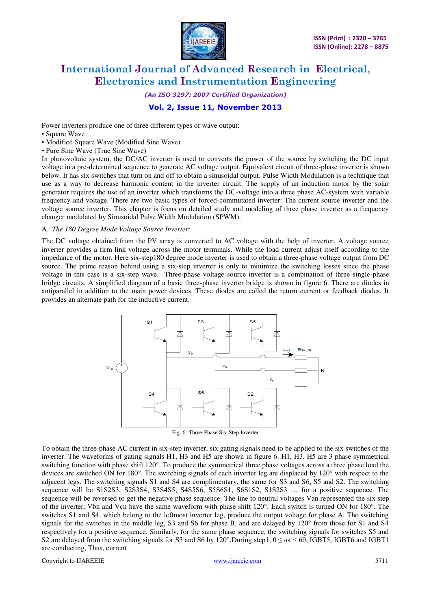

*(An ISO 3297: 2007 Certified Organization)* 

### **Vol. 2, Issue 11, November 2013**

Power inverters produce one of three different types of wave output:

- Square Wave
- Modified Square Wave (Modified Sine Wave)
- Pure Sine Wave (True Sine Wave)

In photovoltaic system, the DC/AC inverter is used to converts the power of the source by switching the DC input voltage in a pre-determined sequence to generate AC voltage output. Equivalent circuit of three-phase inverter is shown below. It has six switches that turn on and off to obtain a sinusoidal output. Pulse Width Modulation is a technique that use as a way to decrease harmonic content in the inverter circuit. The supply of an induction motor by the solar generator requires the use of an inverter which transforms the DC-voltage into a three phase AC-system with variable frequency and voltage. There are two basic types of forced-commutated inverter: The current source inverter and the voltage source inverter. This chapter is focus on detailed study and modeling of three phase inverter as a frequency changer modulated by Sinusoidal Pulse Width Modulation (SPWM).

#### A. *The 180 Degree Mode Voltage Source Inverter:*

The DC voltage obtained from the PV array is converted to AC voltage with the help of inverter. A voltage source inverter provides a firm link voltage across the motor terminals. While the load current adjust itself according to the impedance of the motor. Here six-step180 degree mode inverter is used to obtain a three-phase voltage output from DC source. The prime reason behind using a six-step inverter is only to minimize the switching losses since the phase voltage in this case is a six-step wave. Three-phase voltage source inverter is a combination of three single-phase bridge circuits. A simplified diagram of a basic three-phase inverter bridge is shown in figure 6. There are diodes in antiparallel in addition to the main power devices. These diodes are called the return current or feedback diodes. It provides an alternate path for the inductive current.



To obtain the three-phase AC current in six-step inverter, six gating signals need to be applied to the six switches of the inverter. The waveforms of gating signals H1, H3 and H5 are shown in figure 6. H1, H3, H5 are 3 phase symmetrical switching function with phase shift 120°. To produce the symmetrical three phase voltages across a three phase load the devices are switched ON for 180°. The switching signals of each inverter leg are displaced by 120° with respect to the adjacent legs. The switching signals S1 and S4 are complimentary, the same for S3 and S6, S5 and S2. The switching sequence will be S1S2S3, S2S3S4, S3S4S5, S4S5S6, S5S6S1, S6S1S2, S1S2S3 … for a positive sequence. The sequence will be reversed to get the negative phase sequence. The line to neutral voltages Van represented the six step of the inverter. Vbn and Vcn have the same waveform with phase shift 120°. Each switch is turned ON for 180°. The switches S1 and S4, which belong to the leftmost inverter leg, produce the output voltage for phase A. The switching signals for the switches in the middle leg, S3 and S6 for phase B, and are delayed by 120° from those for S1 and S4 respectively for a positive sequence. Similarly, for the same phase sequence, the switching signals for switches S5 and S2 are delayed from the switching signals for S3 and S6 by  $120^{\circ}$ . During step1,  $0 \le \omega t \le 60$ , IGBT5, IGBT6 and IGBT1 are conducting, Thus, current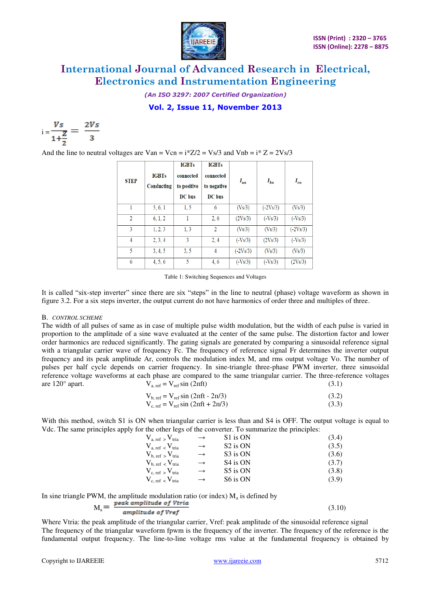

*(An ISO 3297: 2007 Certified Organization)* 

**Vol. 2, Issue 11, November 2013** 

$$
i = \frac{Vs}{1 + \frac{Z}{2}} = \frac{2Vs}{3}
$$

And the line to neutral voltages are Van = Vcn =  $i^*Z/2 = Vs/3$  and Vnb =  $i^*Z = 2Vs/3$ 

| <b>STEP</b>    | <b>IGBTs</b><br>Conducting | <b>IGBTs</b><br>connected<br>to positive<br>DC bus | <b>IGBTs</b><br>connected<br>to negative<br>DC bus | $I_{an}$   | $I_{bn}$   | $I_{cn}$   |
|----------------|----------------------------|----------------------------------------------------|----------------------------------------------------|------------|------------|------------|
|                | 5, 6, 1                    | 1.5                                                | 6                                                  | (Vs/3)     | $(-2Vs/3)$ | (Vs/3)     |
| $\overline{2}$ | 6, 1, 2                    |                                                    | 2, 6                                               | (2Vs/3)    | $(-Vs/3)$  | $(-Vs/3)$  |
| 3              | 1, 2, 3                    | 1, 3                                               | $\overline{2}$                                     | (Vs/3)     | (Vs/3)     | $(-2Vs/3)$ |
| 4              | 2, 3, 4                    | 3                                                  | 2, 4                                               | $(-Vs/3)$  | (2Vs/3)    | $(-Vs/3)$  |
| 5              | 3, 4, 5                    | 3, 5                                               | 4                                                  | $(-2Vs/3)$ | (Vs/3)     | (Vs/3)     |
| 6              | 4, 5, 6                    | 5                                                  | 4, 6                                               | $(-Vs/3)$  | $(-Vs/3)$  | (2Vs/3)    |

Table 1: Switching Sequences and Voltages

It is called "six-step inverter" since there are six "steps" in the line to neutral (phase) voltage waveform as shown in figure 3.2. For a six steps inverter, the output current do not have harmonics of order three and multiples of three.

#### B. *CONTROL SCHEME*

The width of all pulses of same as in case of multiple pulse width modulation, but the width of each pulse is varied in proportion to the amplitude of a sine wave evaluated at the center of the same pulse. The distortion factor and lower order harmonics are reduced significantly. The gating signals are generated by comparing a sinusoidal reference signal with a triangular carrier wave of frequency Fc. The frequency of reference signal Fr determines the inverter output frequency and its peak amplitude Ar, controls the modulation index M, and rms output voltage Vo. The number of pulses per half cycle depends on carrier frequency. In sine-triangle three-phase PWM inverter, three sinusoidal reference voltage waveforms at each phase are compared to the same triangular carrier. The three-reference voltages are  $120^{\circ}$  apart.  $V_{a, ref} = V_{ref} \sin(2\pi ft)$  (3.1)

$$
V_{b, ref} = V_{ref} \sin(2\pi ft - 2\pi/3)
$$
\n(3.2)

 $V_{c. ref} = V_{ref} \sin (2\pi ft + 2\pi/3)$  (3.3)

With this method, switch S1 is ON when triangular carrier is less than and S4 is OFF. The output voltage is equal to Vdc. The same principles apply for the other legs of the converter. To summarize the principles:

| $V_{a, ref}$ > $V_{trial}$<br>$\rightarrow$ | S1 is ON             | (3.4) |
|---------------------------------------------|----------------------|-------|
| $V_{a, ref}$ < $V_{trial}$<br>$\rightarrow$ | S <sub>2</sub> is ON | (3.5) |
| $V_{b, ref}$ , $V_{trial}$<br>$\rightarrow$ | S3 is ON             | (3.6) |
| $V_{b, ref}$ < $V_{trial}$<br>$\rightarrow$ | S <sub>4</sub> is ON | (3.7) |
| $V_{c, ref}$ > $V_{trial}$<br>$\rightarrow$ | S5 is ON             | (3.8) |
| $V_{c, ref}$ < $V_{tria}$<br>$\rightarrow$  | S6 is ON             | (3.9) |

In sine triangle PWM, the amplitude modulation ratio (or index)  $M_a$  is defined by

$$
M_a = \frac{peak\ amplitudes\ of\ Vtria}{amplitudes\ of\ Vref} \tag{3.10}
$$

Where Vtria: the peak amplitude of the triangular carrier, Vref: peak amplitude of the sinusoidal reference signal The frequency of the triangular waveform fpwm is the frequency of the inverter. The frequency of the reference is the fundamental output frequency. The line-to-line voltage rms value at the fundamental frequency is obtained by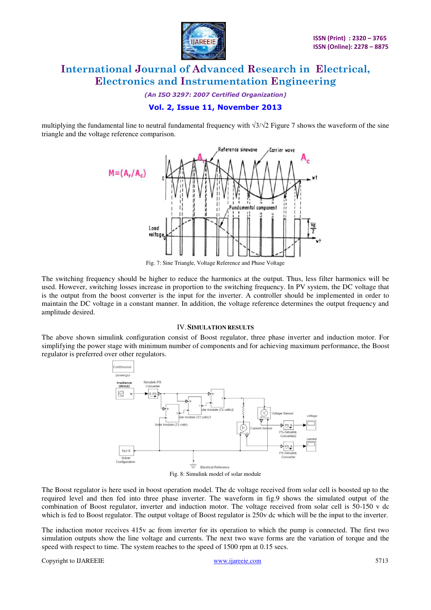

*(An ISO 3297: 2007 Certified Organization)* 

### **Vol. 2, Issue 11, November 2013**

multiplying the fundamental line to neutral fundamental frequency with  $\sqrt{3}/\sqrt{2}$  Figure 7 shows the waveform of the sine triangle and the voltage reference comparison.



Fig. 7: Sine Triangle, Voltage Reference and Phase Voltage

The switching frequency should be higher to reduce the harmonics at the output. Thus, less filter harmonics will be used. However, switching losses increase in proportion to the switching frequency. In PV system, the DC voltage that is the output from the boost converter is the input for the inverter. A controller should be implemented in order to maintain the DC voltage in a constant manner. In addition, the voltage reference determines the output frequency and amplitude desired.

#### IV.**SIMULATION RESULTS**

The above shown simulink configuration consist of Boost regulator, three phase inverter and induction motor. For simplifying the power stage with minimum number of components and for achieving maximum performance, the Boost regulator is preferred over other regulators.



The Boost regulator is here used in boost operation model. The dc voltage received from solar cell is boosted up to the required level and then fed into three phase inverter. The waveform in fig.9 shows the simulated output of the combination of Boost regulator, inverter and induction motor. The voltage received from solar cell is 50-150 v dc which is fed to Boost regulator. The output voltage of Boost regulator is 250v dc which will be the input to the inverter.

The induction motor receives 415v ac from inverter for its operation to which the pump is connected. The first two simulation outputs show the line voltage and currents. The next two wave forms are the variation of torque and the speed with respect to time. The system reaches to the speed of 1500 rpm at 0.15 secs.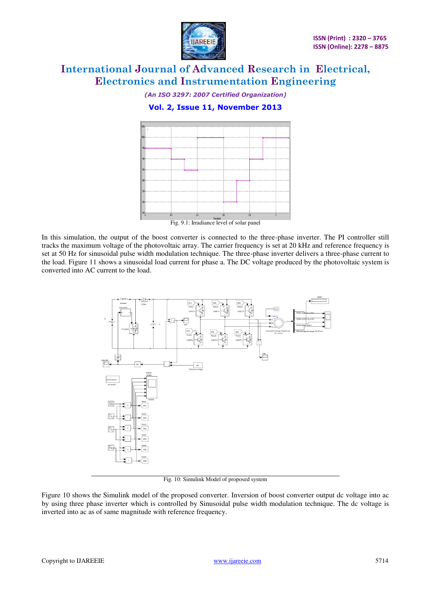

*(An ISO 3297: 2007 Certified Organization)* 

**Vol. 2, Issue 11, November 2013** 



In this simulation, the output of the boost converter is connected to the three-phase inverter. The PI controller still tracks the maximum voltage of the photovoltaic array. The carrier frequency is set at 20 kHz and reference frequency is set at 50 Hz for sinusoidal pulse width modulation technique. The three-phase inverter delivers a three-phase current to the load. Figure 11 shows a sinusoidal load current for phase a. The DC voltage produced by the photovoltaic system is converted into AC current to the load.



Fig. 10: Simulink Model of proposed system

Figure 10 shows the Simulink model of the proposed converter. Inversion of boost converter output dc voltage into ac by using three phase inverter which is controlled by Sinusoidal pulse width modulation technique. The dc voltage is inverted into ac as of same magnitude with reference frequency.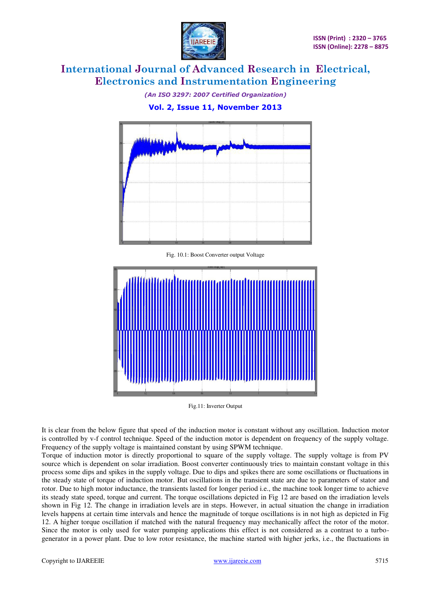

*(An ISO 3297: 2007 Certified Organization)*  **Vol. 2, Issue 11, November 2013** 



Fig. 10.1: Boost Converter output Voltage



Fig.11: Inverter Output

It is clear from the below figure that speed of the induction motor is constant without any oscillation. Induction motor is controlled by v-f control technique. Speed of the induction motor is dependent on frequency of the supply voltage. Frequency of the supply voltage is maintained constant by using SPWM technique.

Torque of induction motor is directly proportional to square of the supply voltage. The supply voltage is from PV source which is dependent on solar irradiation. Boost converter continuously tries to maintain constant voltage in this process some dips and spikes in the supply voltage. Due to dips and spikes there are some oscillations or fluctuations in the steady state of torque of induction motor. But oscillations in the transient state are due to parameters of stator and rotor. Due to high motor inductance, the transients lasted for longer period i.e., the machine took longer time to achieve its steady state speed, torque and current. The torque oscillations depicted in Fig 12 are based on the irradiation levels shown in Fig 12. The change in irradiation levels are in steps. However, in actual situation the change in irradiation levels happens at certain time intervals and hence the magnitude of torque oscillations is in not high as depicted in Fig 12. A higher torque oscillation if matched with the natural frequency may mechanically affect the rotor of the motor. Since the motor is only used for water pumping applications this effect is not considered as a contrast to a turbogenerator in a power plant. Due to low rotor resistance, the machine started with higher jerks, i.e., the fluctuations in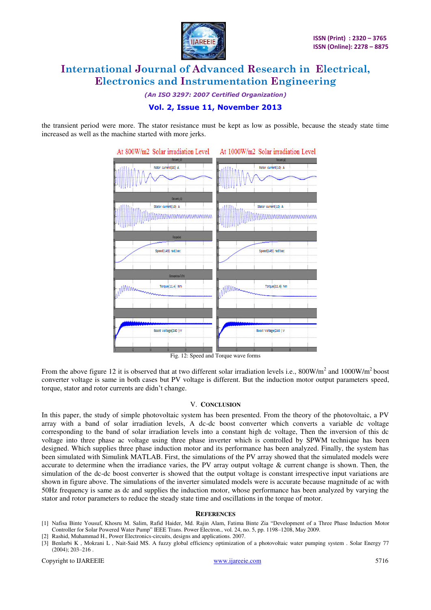

*(An ISO 3297: 2007 Certified Organization)* 

### **Vol. 2, Issue 11, November 2013**

the transient period were more. The stator resistance must be kept as low as possible, because the steady state time increased as well as the machine started with more jerks.



From the above figure 12 it is observed that at two different solar irradiation levels i.e.,  $800W/m^2$  and  $1000W/m^2$  boost converter voltage is same in both cases but PV voltage is different. But the induction motor output parameters speed, torque, stator and rotor currents are didn't change.

#### V. **CONCLUSION**

In this paper, the study of simple photovoltaic system has been presented. From the theory of the photovoltaic, a PV array with a band of solar irradiation levels, A dc-dc boost converter which converts a variable dc voltage corresponding to the band of solar irradiation levels into a constant high dc voltage, Then the inversion of this dc voltage into three phase ac voltage using three phase inverter which is controlled by SPWM technique has been designed. Which supplies three phase induction motor and its performance has been analyzed. Finally, the system has been simulated with Simulink MATLAB. First, the simulations of the PV array showed that the simulated models were accurate to determine when the irradiance varies, the PV array output voltage  $\&$  current change is shown. Then, the simulation of the dc-dc boost converter is showed that the output voltage is constant irrespective input variations are shown in figure above. The simulations of the inverter simulated models were is accurate because magnitude of ac with 50Hz frequency is same as dc and supplies the induction motor, whose performance has been analyzed by varying the stator and rotor parameters to reduce the steady state time and oscillations in the torque of motor.

#### **REFERENCES**

- [1] Nafisa Binte Yousuf, Khosru M. Salim, Rafid Haider, Md. Rajin Alam, Fatima Binte Zia "Development of a Three Phase Induction Motor Controller for Solar Powered Water Pump" IEEE Trans. Power Electron., vol. 24, no. 5, pp. 1198–1208, May 2009.
- Rashid, Muhammad H., Power Electronics-circuits, designs and applications. 2007.
- [3] Benlarbi K , Mokrani L , Nait-Said MS. A fuzzy global efficiency optimization of a photovoltaic water pumping system . Solar Energy 77 (2004); 203–216 .